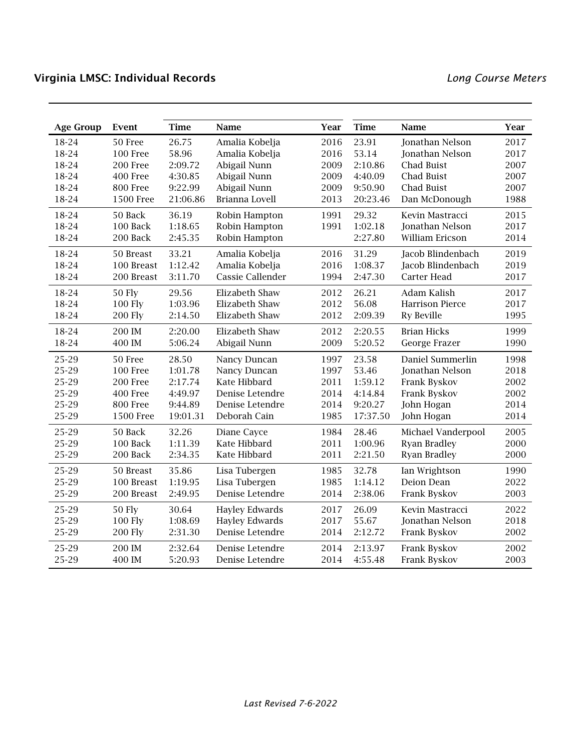| <b>Age Group</b> | Event            | <b>Time</b> | Name                  | Year | <b>Time</b> | Name                   | Year |
|------------------|------------------|-------------|-----------------------|------|-------------|------------------------|------|
| 18-24            | 50 Free          | 26.75       | Amalia Kobelja        | 2016 | 23.91       | Jonathan Nelson        | 2017 |
| 18-24            | 100 Free         | 58.96       | Amalia Kobelja        | 2016 | 53.14       | Jonathan Nelson        | 2017 |
| 18-24            | 200 Free         | 2:09.72     | Abigail Nunn          | 2009 | 2:10.86     | Chad Buist             | 2007 |
| 18-24            | 400 Free         | 4:30.85     | Abigail Nunn          | 2009 | 4:40.09     | <b>Chad Buist</b>      | 2007 |
| 18-24            | 800 Free         | 9:22.99     | Abigail Nunn          | 2009 | 9:50.90     | <b>Chad Buist</b>      | 2007 |
| 18-24            | <b>1500 Free</b> | 21:06.86    | Brianna Lovell        | 2013 | 20:23.46    | Dan McDonough          | 1988 |
| 18-24            | 50 Back          | 36.19       | Robin Hampton         | 1991 | 29.32       | Kevin Mastracci        | 2015 |
| 18-24            | 100 Back         | 1:18.65     | Robin Hampton         | 1991 | 1:02.18     | Jonathan Nelson        | 2017 |
| 18-24            | 200 Back         | 2:45.35     | Robin Hampton         |      | 2:27.80     | William Ericson        | 2014 |
| 18-24            | 50 Breast        | 33.21       | Amalia Kobelja        | 2016 | 31.29       | Jacob Blindenbach      | 2019 |
| 18-24            | 100 Breast       | 1:12.42     | Amalia Kobelja        | 2016 | 1:08.37     | Jacob Blindenbach      | 2019 |
| 18-24            | 200 Breast       | 3:11.70     | Cassie Callender      | 1994 | 2:47.30     | Carter Head            | 2017 |
| 18-24            | <b>50 Fly</b>    | 29.56       | Elizabeth Shaw        | 2012 | 26.21       | Adam Kalish            | 2017 |
| 18-24            | 100 Fly          | 1:03.96     | Elizabeth Shaw        | 2012 | 56.08       | <b>Harrison Pierce</b> | 2017 |
| 18-24            | <b>200 Fly</b>   | 2:14.50     | Elizabeth Shaw        | 2012 | 2:09.39     | <b>Ry Beville</b>      | 1995 |
| 18-24            | 200 IM           | 2:20.00     | Elizabeth Shaw        | 2012 | 2:20.55     | <b>Brian Hicks</b>     | 1999 |
| 18-24            | 400 IM           | 5:06.24     | Abigail Nunn          | 2009 | 5:20.52     | George Frazer          | 1990 |
| 25-29            | 50 Free          | 28.50       | Nancy Duncan          | 1997 | 23.58       | Daniel Summerlin       | 1998 |
| 25-29            | 100 Free         | 1:01.78     | Nancy Duncan          | 1997 | 53.46       | Jonathan Nelson        | 2018 |
| 25-29            | 200 Free         | 2:17.74     | Kate Hibbard          | 2011 | 1:59.12     | Frank Byskov           | 2002 |
| 25-29            | 400 Free         | 4:49.97     | Denise Letendre       | 2014 | 4:14.84     | Frank Byskov           | 2002 |
| 25-29            | 800 Free         | 9:44.89     | Denise Letendre       | 2014 | 9:20.27     | John Hogan             | 2014 |
| 25-29            | <b>1500 Free</b> | 19:01.31    | Deborah Cain          | 1985 | 17:37.50    | John Hogan             | 2014 |
| 25-29            | 50 Back          | 32.26       | Diane Cayce           | 1984 | 28.46       | Michael Vanderpool     | 2005 |
| 25-29            | 100 Back         | 1:11.39     | Kate Hibbard          | 2011 | 1:00.96     | <b>Ryan Bradley</b>    | 2000 |
| 25-29            | 200 Back         | 2:34.35     | Kate Hibbard          | 2011 | 2:21.50     | Ryan Bradley           | 2000 |
| 25-29            | 50 Breast        | 35.86       | Lisa Tubergen         | 1985 | 32.78       | Ian Wrightson          | 1990 |
| 25-29            | 100 Breast       | 1:19.95     | Lisa Tubergen         | 1985 | 1:14.12     | Deion Dean             | 2022 |
| 25-29            | 200 Breast       | 2:49.95     | Denise Letendre       | 2014 | 2:38.06     | Frank Byskov           | 2003 |
| 25-29            | 50 Fly           | 30.64       | <b>Hayley Edwards</b> | 2017 | 26.09       | Kevin Mastracci        | 2022 |
| 25-29            | <b>100 Fly</b>   | 1:08.69     | <b>Hayley Edwards</b> | 2017 | 55.67       | Jonathan Nelson        | 2018 |
| 25-29            | <b>200 Fly</b>   | 2:31.30     | Denise Letendre       | 2014 | 2:12.72     | Frank Byskov           | 2002 |
| 25-29            | 200 IM           | 2:32.64     | Denise Letendre       | 2014 | 2:13.97     | Frank Byskov           | 2002 |
| 25-29            | 400 IM           | 5:20.93     | Denise Letendre       | 2014 | 4:55.48     | Frank Byskov           | 2003 |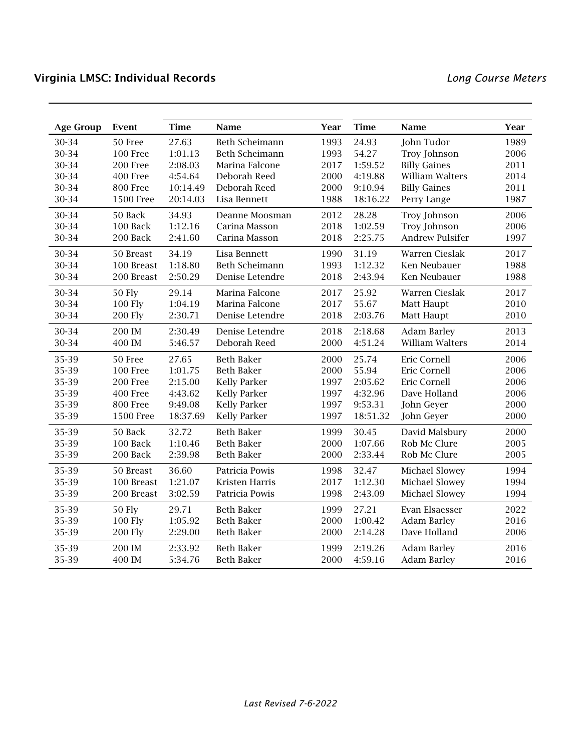| <b>Age Group</b> | Event            | <b>Time</b> | Name                  | Year | <b>Time</b> | Name                   | Year |
|------------------|------------------|-------------|-----------------------|------|-------------|------------------------|------|
| 30-34            | 50 Free          | 27.63       | <b>Beth Scheimann</b> | 1993 | 24.93       | John Tudor             | 1989 |
| 30-34            | <b>100 Free</b>  | 1:01.13     | Beth Scheimann        | 1993 | 54.27       | Troy Johnson           | 2006 |
| 30-34            | 200 Free         | 2:08.03     | Marina Falcone        | 2017 | 1:59.52     | <b>Billy Gaines</b>    | 2011 |
| 30-34            | 400 Free         | 4:54.64     | Deborah Reed          | 2000 | 4:19.88     | William Walters        | 2014 |
| 30-34            | 800 Free         | 10:14.49    | Deborah Reed          | 2000 | 9:10.94     | <b>Billy Gaines</b>    | 2011 |
| 30-34            | <b>1500 Free</b> | 20:14.03    | Lisa Bennett          | 1988 | 18:16.22    | Perry Lange            | 1987 |
| 30-34            | 50 Back          | 34.93       | Deanne Moosman        | 2012 | 28.28       | Troy Johnson           | 2006 |
| 30-34            | 100 Back         | 1:12.16     | Carina Masson         | 2018 | 1:02.59     | Troy Johnson           | 2006 |
| 30-34            | 200 Back         | 2:41.60     | Carina Masson         | 2018 | 2:25.75     | <b>Andrew Pulsifer</b> | 1997 |
| 30-34            | 50 Breast        | 34.19       | Lisa Bennett          | 1990 | 31.19       | Warren Cieslak         | 2017 |
| 30-34            | 100 Breast       | 1:18.80     | <b>Beth Scheimann</b> | 1993 | 1:12.32     | Ken Neubauer           | 1988 |
| 30-34            | 200 Breast       | 2:50.29     | Denise Letendre       | 2018 | 2:43.94     | Ken Neubauer           | 1988 |
| 30-34            | <b>50 Fly</b>    | 29.14       | Marina Falcone        | 2017 | 25.92       | Warren Cieslak         | 2017 |
| 30-34            | <b>100 Fly</b>   | 1:04.19     | Marina Falcone        | 2017 | 55.67       | Matt Haupt             | 2010 |
| 30-34            | <b>200 Fly</b>   | 2:30.71     | Denise Letendre       | 2018 | 2:03.76     | Matt Haupt             | 2010 |
| 30-34            | 200 IM           | 2:30.49     | Denise Letendre       | 2018 | 2:18.68     | <b>Adam Barley</b>     | 2013 |
| 30-34            | 400 IM           | 5:46.57     | Deborah Reed          | 2000 | 4:51.24     | William Walters        | 2014 |
| 35-39            | 50 Free          | 27.65       | <b>Beth Baker</b>     | 2000 | 25.74       | Eric Cornell           | 2006 |
| 35-39            | <b>100 Free</b>  | 1:01.75     | <b>Beth Baker</b>     | 2000 | 55.94       | Eric Cornell           | 2006 |
| 35-39            | 200 Free         | 2:15.00     | <b>Kelly Parker</b>   | 1997 | 2:05.62     | Eric Cornell           | 2006 |
| 35-39            | 400 Free         | 4:43.62     | <b>Kelly Parker</b>   | 1997 | 4:32.96     | Dave Holland           | 2006 |
| 35-39            | 800 Free         | 9:49.08     | <b>Kelly Parker</b>   | 1997 | 9:53.31     | John Geyer             | 2000 |
| 35-39            | <b>1500 Free</b> | 18:37.69    | <b>Kelly Parker</b>   | 1997 | 18:51.32    | John Geyer             | 2000 |
| 35-39            | 50 Back          | 32.72       | <b>Beth Baker</b>     | 1999 | 30.45       | David Malsbury         | 2000 |
| 35-39            | 100 Back         | 1:10.46     | <b>Beth Baker</b>     | 2000 | 1:07.66     | Rob Mc Clure           | 2005 |
| 35-39            | 200 Back         | 2:39.98     | <b>Beth Baker</b>     | 2000 | 2:33.44     | Rob Mc Clure           | 2005 |
| 35-39            | 50 Breast        | 36.60       | Patricia Powis        | 1998 | 32.47       | Michael Slowey         | 1994 |
| 35-39            | 100 Breast       | 1:21.07     | Kristen Harris        | 2017 | 1:12.30     | Michael Slowey         | 1994 |
| 35-39            | 200 Breast       | 3:02.59     | Patricia Powis        | 1998 | 2:43.09     | Michael Slowey         | 1994 |
| 35-39            | <b>50 Fly</b>    | 29.71       | <b>Beth Baker</b>     | 1999 | 27.21       | Evan Elsaesser         | 2022 |
| 35-39            | <b>100 Fly</b>   | 1:05.92     | <b>Beth Baker</b>     | 2000 | 1:00.42     | <b>Adam Barley</b>     | 2016 |
| 35-39            | <b>200 Fly</b>   | 2:29.00     | <b>Beth Baker</b>     | 2000 | 2:14.28     | Dave Holland           | 2006 |
| 35-39            | 200 IM           | 2:33.92     | <b>Beth Baker</b>     | 1999 | 2:19.26     | <b>Adam Barley</b>     | 2016 |
| 35-39            | 400 IM           | 5:34.76     | <b>Beth Baker</b>     | 2000 | 4:59.16     | <b>Adam Barley</b>     | 2016 |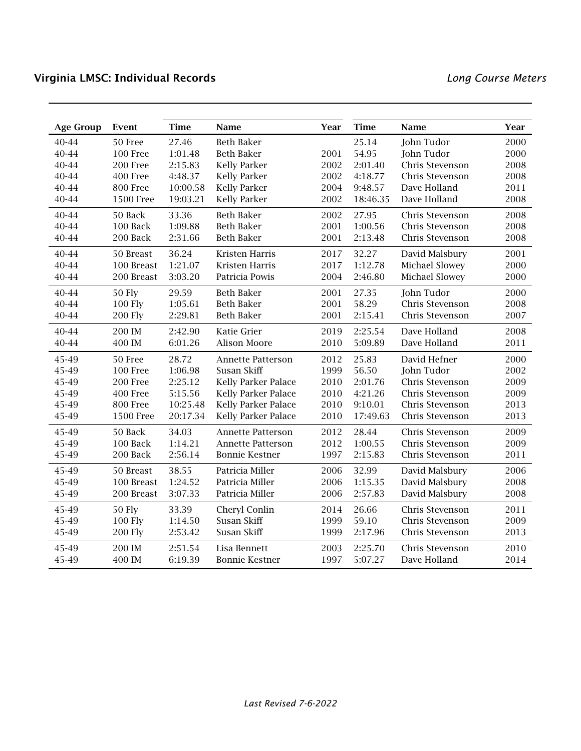| <b>Age Group</b> | Event            | <b>Time</b> | Name                       | Year | <b>Time</b> | Name            | Year |
|------------------|------------------|-------------|----------------------------|------|-------------|-----------------|------|
| 40-44            | 50 Free          | 27.46       | <b>Beth Baker</b>          |      | 25.14       | John Tudor      | 2000 |
| 40-44            | <b>100 Free</b>  | 1:01.48     | <b>Beth Baker</b>          | 2001 | 54.95       | John Tudor      | 2000 |
| 40-44            | 200 Free         | 2:15.83     | <b>Kelly Parker</b>        | 2002 | 2:01.40     | Chris Stevenson | 2008 |
| 40-44            | 400 Free         | 4:48.37     | <b>Kelly Parker</b>        | 2002 | 4:18.77     | Chris Stevenson | 2008 |
| 40-44            | 800 Free         | 10:00.58    | <b>Kelly Parker</b>        | 2004 | 9:48.57     | Dave Holland    | 2011 |
| 40-44            | <b>1500 Free</b> | 19:03.21    | <b>Kelly Parker</b>        | 2002 | 18:46.35    | Dave Holland    | 2008 |
| 40-44            | 50 Back          | 33.36       | <b>Beth Baker</b>          | 2002 | 27.95       | Chris Stevenson | 2008 |
| 40-44            | 100 Back         | 1:09.88     | <b>Beth Baker</b>          | 2001 | 1:00.56     | Chris Stevenson | 2008 |
| 40-44            | 200 Back         | 2:31.66     | <b>Beth Baker</b>          | 2001 | 2:13.48     | Chris Stevenson | 2008 |
| 40-44            | 50 Breast        | 36.24       | <b>Kristen Harris</b>      | 2017 | 32.27       | David Malsbury  | 2001 |
| 40-44            | 100 Breast       | 1:21.07     | Kristen Harris             | 2017 | 1:12.78     | Michael Slowey  | 2000 |
| 40-44            | 200 Breast       | 3:03.20     | Patricia Powis             | 2004 | 2:46.80     | Michael Slowey  | 2000 |
| 40-44            | <b>50 Fly</b>    | 29.59       | <b>Beth Baker</b>          | 2001 | 27.35       | John Tudor      | 2000 |
| 40-44            | <b>100 Fly</b>   | 1:05.61     | <b>Beth Baker</b>          | 2001 | 58.29       | Chris Stevenson | 2008 |
| 40-44            | <b>200 Fly</b>   | 2:29.81     | <b>Beth Baker</b>          | 2001 | 2:15.41     | Chris Stevenson | 2007 |
| 40-44            | 200 IM           | 2:42.90     | Katie Grier                | 2019 | 2:25.54     | Dave Holland    | 2008 |
| 40-44            | 400 IM           | 6:01.26     | Alison Moore               | 2010 | 5:09.89     | Dave Holland    | 2011 |
| 45-49            | 50 Free          | 28.72       | Annette Patterson          | 2012 | 25.83       | David Hefner    | 2000 |
| 45-49            | <b>100 Free</b>  | 1:06.98     | Susan Skiff                | 1999 | 56.50       | John Tudor      | 2002 |
| 45-49            | 200 Free         | 2:25.12     | Kelly Parker Palace        | 2010 | 2:01.76     | Chris Stevenson | 2009 |
| 45-49            | 400 Free         | 5:15.56     | <b>Kelly Parker Palace</b> | 2010 | 4:21.26     | Chris Stevenson | 2009 |
| 45-49            | 800 Free         | 10:25.48    | Kelly Parker Palace        | 2010 | 9:10.01     | Chris Stevenson | 2013 |
| 45-49            | <b>1500 Free</b> | 20:17.34    | Kelly Parker Palace        | 2010 | 17:49.63    | Chris Stevenson | 2013 |
| 45-49            | 50 Back          | 34.03       | <b>Annette Patterson</b>   | 2012 | 28.44       | Chris Stevenson | 2009 |
| 45-49            | 100 Back         | 1:14.21     | <b>Annette Patterson</b>   | 2012 | 1:00.55     | Chris Stevenson | 2009 |
| 45-49            | 200 Back         | 2:56.14     | <b>Bonnie Kestner</b>      | 1997 | 2:15.83     | Chris Stevenson | 2011 |
| 45-49            | 50 Breast        | 38.55       | Patricia Miller            | 2006 | 32.99       | David Malsbury  | 2006 |
| 45-49            | 100 Breast       | 1:24.52     | Patricia Miller            | 2006 | 1:15.35     | David Malsbury  | 2008 |
| 45-49            | 200 Breast       | 3:07.33     | Patricia Miller            | 2006 | 2:57.83     | David Malsbury  | 2008 |
| 45-49            | <b>50 Fly</b>    | 33.39       | Cheryl Conlin              | 2014 | 26.66       | Chris Stevenson | 2011 |
| 45-49            | <b>100 Fly</b>   | 1:14.50     | Susan Skiff                | 1999 | 59.10       | Chris Stevenson | 2009 |
| 45-49            | <b>200 Fly</b>   | 2:53.42     | Susan Skiff                | 1999 | 2:17.96     | Chris Stevenson | 2013 |
| 45-49            | 200 IM           | 2:51.54     | Lisa Bennett               | 2003 | 2:25.70     | Chris Stevenson | 2010 |
| 45-49            | 400 IM           | 6:19.39     | <b>Bonnie Kestner</b>      | 1997 | 5:07.27     | Dave Holland    | 2014 |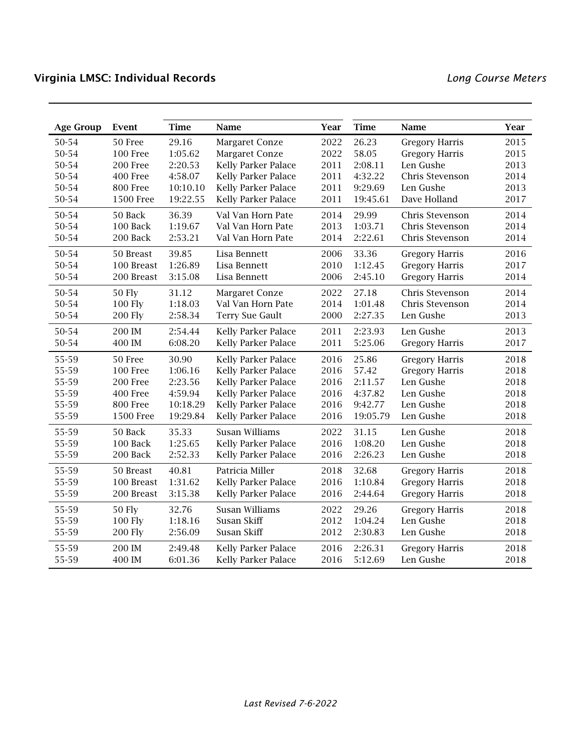| <b>Age Group</b> | Event            | <b>Time</b> | Name                       | Year | <b>Time</b> | Name                  | Year |
|------------------|------------------|-------------|----------------------------|------|-------------|-----------------------|------|
| 50-54            | 50 Free          | 29.16       | Margaret Conze             | 2022 | 26.23       | <b>Gregory Harris</b> | 2015 |
| 50-54            | 100 Free         | 1:05.62     | Margaret Conze             | 2022 | 58.05       | <b>Gregory Harris</b> | 2015 |
| 50-54            | 200 Free         | 2:20.53     | Kelly Parker Palace        | 2011 | 2:08.11     | Len Gushe             | 2013 |
| 50-54            | 400 Free         | 4:58.07     | <b>Kelly Parker Palace</b> | 2011 | 4:32.22     | Chris Stevenson       | 2014 |
| 50-54            | 800 Free         | 10:10.10    | <b>Kelly Parker Palace</b> | 2011 | 9:29.69     | Len Gushe             | 2013 |
| 50-54            | <b>1500 Free</b> | 19:22.55    | <b>Kelly Parker Palace</b> | 2011 | 19:45.61    | Dave Holland          | 2017 |
| 50-54            | 50 Back          | 36.39       | Val Van Horn Pate          | 2014 | 29.99       | Chris Stevenson       | 2014 |
| 50-54            | 100 Back         | 1:19.67     | Val Van Horn Pate          | 2013 | 1:03.71     | Chris Stevenson       | 2014 |
| 50-54            | 200 Back         | 2:53.21     | Val Van Horn Pate          | 2014 | 2:22.61     | Chris Stevenson       | 2014 |
| 50-54            | 50 Breast        | 39.85       | Lisa Bennett               | 2006 | 33.36       | <b>Gregory Harris</b> | 2016 |
| 50-54            | 100 Breast       | 1:26.89     | Lisa Bennett               | 2010 | 1:12.45     | <b>Gregory Harris</b> | 2017 |
| 50-54            | 200 Breast       | 3:15.08     | Lisa Bennett               | 2006 | 2:45.10     | <b>Gregory Harris</b> | 2014 |
| 50-54            | 50 Fly           | 31.12       | Margaret Conze             | 2022 | 27.18       | Chris Stevenson       | 2014 |
| 50-54            | <b>100 Fly</b>   | 1:18.03     | Val Van Horn Pate          | 2014 | 1:01.48     | Chris Stevenson       | 2014 |
| 50-54            | <b>200 Fly</b>   | 2:58.34     | Terry Sue Gault            | 2000 | 2:27.35     | Len Gushe             | 2013 |
| 50-54            | 200 IM           | 2:54.44     | Kelly Parker Palace        | 2011 | 2:23.93     | Len Gushe             | 2013 |
| 50-54            | 400 IM           | 6:08.20     | Kelly Parker Palace        | 2011 | 5:25.06     | <b>Gregory Harris</b> | 2017 |
| 55-59            | 50 Free          | 30.90       | Kelly Parker Palace        | 2016 | 25.86       | <b>Gregory Harris</b> | 2018 |
| 55-59            | 100 Free         | 1:06.16     | Kelly Parker Palace        | 2016 | 57.42       | <b>Gregory Harris</b> | 2018 |
| 55-59            | 200 Free         | 2:23.56     | <b>Kelly Parker Palace</b> | 2016 | 2:11.57     | Len Gushe             | 2018 |
| 55-59            | 400 Free         | 4:59.94     | Kelly Parker Palace        | 2016 | 4:37.82     | Len Gushe             | 2018 |
| 55-59            | 800 Free         | 10:18.29    | Kelly Parker Palace        | 2016 | 9:42.77     | Len Gushe             | 2018 |
| 55-59            | <b>1500 Free</b> | 19:29.84    | Kelly Parker Palace        | 2016 | 19:05.79    | Len Gushe             | 2018 |
| 55-59            | 50 Back          | 35.33       | <b>Susan Williams</b>      | 2022 | 31.15       | Len Gushe             | 2018 |
| 55-59            | 100 Back         | 1:25.65     | Kelly Parker Palace        | 2016 | 1:08.20     | Len Gushe             | 2018 |
| 55-59            | 200 Back         | 2:52.33     | <b>Kelly Parker Palace</b> | 2016 | 2:26.23     | Len Gushe             | 2018 |
| 55-59            | 50 Breast        | 40.81       | Patricia Miller            | 2018 | 32.68       | <b>Gregory Harris</b> | 2018 |
| 55-59            | 100 Breast       | 1:31.62     | Kelly Parker Palace        | 2016 | 1:10.84     | <b>Gregory Harris</b> | 2018 |
| 55-59            | 200 Breast       | 3:15.38     | Kelly Parker Palace        | 2016 | 2:44.64     | <b>Gregory Harris</b> | 2018 |
| 55-59            | <b>50 Fly</b>    | 32.76       | Susan Williams             | 2022 | 29.26       | <b>Gregory Harris</b> | 2018 |
| 55-59            | <b>100 Fly</b>   | 1:18.16     | Susan Skiff                | 2012 | 1:04.24     | Len Gushe             | 2018 |
| 55-59            | <b>200 Fly</b>   | 2:56.09     | Susan Skiff                | 2012 | 2:30.83     | Len Gushe             | 2018 |
| 55-59            | 200 IM           | 2:49.48     | Kelly Parker Palace        | 2016 | 2:26.31     | <b>Gregory Harris</b> | 2018 |
| 55-59            | 400 IM           | 6:01.36     | Kelly Parker Palace        | 2016 | 5:12.69     | Len Gushe             | 2018 |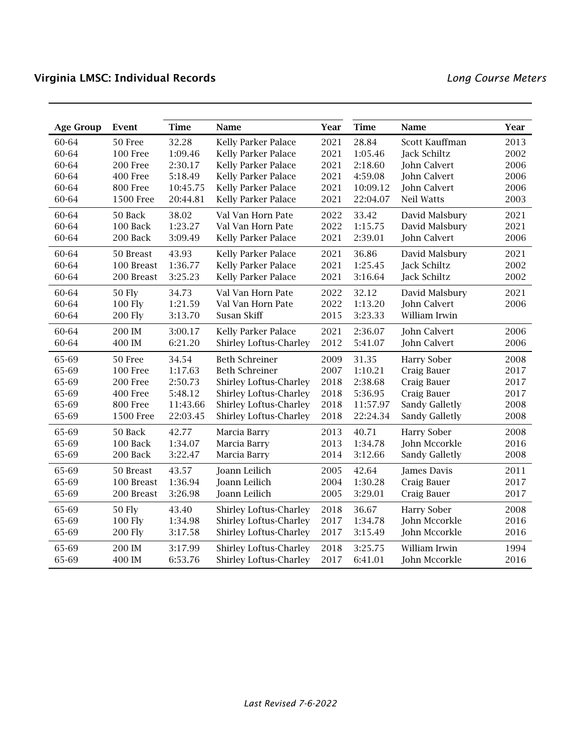| <b>Age Group</b> | Event            | <b>Time</b> | Name                          | Year | <b>Time</b> | Name                | Year |
|------------------|------------------|-------------|-------------------------------|------|-------------|---------------------|------|
| 60-64            | 50 Free          | 32.28       | Kelly Parker Palace           | 2021 | 28.84       | Scott Kauffman      | 2013 |
| 60-64            | <b>100 Free</b>  | 1:09.46     | Kelly Parker Palace           | 2021 | 1:05.46     | Jack Schiltz        | 2002 |
| 60-64            | 200 Free         | 2:30.17     | Kelly Parker Palace           | 2021 | 2:18.60     | John Calvert        | 2006 |
| 60-64            | 400 Free         | 5:18.49     | Kelly Parker Palace           | 2021 | 4:59.08     | John Calvert        | 2006 |
| 60-64            | 800 Free         | 10:45.75    | Kelly Parker Palace           | 2021 | 10:09.12    | <b>John Calvert</b> | 2006 |
| 60-64            | <b>1500 Free</b> | 20:44.81    | Kelly Parker Palace           | 2021 | 22:04.07    | Neil Watts          | 2003 |
| 60-64            | 50 Back          | 38.02       | Val Van Horn Pate             | 2022 | 33.42       | David Malsbury      | 2021 |
| 60-64            | 100 Back         | 1:23.27     | Val Van Horn Pate             | 2022 | 1:15.75     | David Malsbury      | 2021 |
| 60-64            | 200 Back         | 3:09.49     | Kelly Parker Palace           | 2021 | 2:39.01     | John Calvert        | 2006 |
| 60-64            | 50 Breast        | 43.93       | <b>Kelly Parker Palace</b>    | 2021 | 36.86       | David Malsbury      | 2021 |
| 60-64            | 100 Breast       | 1:36.77     | Kelly Parker Palace           | 2021 | 1:25.45     | Jack Schiltz        | 2002 |
| 60-64            | 200 Breast       | 3:25.23     | Kelly Parker Palace           | 2021 | 3:16.64     | Jack Schiltz        | 2002 |
| 60-64            | <b>50 Fly</b>    | 34.73       | Val Van Horn Pate             | 2022 | 32.12       | David Malsbury      | 2021 |
| 60-64            | <b>100 Fly</b>   | 1:21.59     | Val Van Horn Pate             | 2022 | 1:13.20     | John Calvert        | 2006 |
| 60-64            | <b>200 Fly</b>   | 3:13.70     | Susan Skiff                   | 2015 | 3:23.33     | William Irwin       |      |
| 60-64            | 200 IM           | 3:00.17     | Kelly Parker Palace           | 2021 | 2:36.07     | John Calvert        | 2006 |
| 60-64            | 400 IM           | 6:21.20     | <b>Shirley Loftus-Charley</b> | 2012 | 5:41.07     | John Calvert        | 2006 |
| 65-69            | 50 Free          | 34.54       | <b>Beth Schreiner</b>         | 2009 | 31.35       | <b>Harry Sober</b>  | 2008 |
| 65-69            | 100 Free         | 1:17.63     | <b>Beth Schreiner</b>         | 2007 | 1:10.21     | Craig Bauer         | 2017 |
| 65-69            | 200 Free         | 2:50.73     | <b>Shirley Loftus-Charley</b> | 2018 | 2:38.68     | Craig Bauer         | 2017 |
| 65-69            | 400 Free         | 5:48.12     | <b>Shirley Loftus-Charley</b> | 2018 | 5:36.95     | Craig Bauer         | 2017 |
| 65-69            | 800 Free         | 11:43.66    | <b>Shirley Loftus-Charley</b> | 2018 | 11:57.97    | Sandy Galletly      | 2008 |
| 65-69            | <b>1500 Free</b> | 22:03.45    | <b>Shirley Loftus-Charley</b> | 2018 | 22:24.34    | Sandy Galletly      | 2008 |
| 65-69            | 50 Back          | 42.77       | Marcia Barry                  | 2013 | 40.71       | <b>Harry Sober</b>  | 2008 |
| 65-69            | 100 Back         | 1:34.07     | Marcia Barry                  | 2013 | 1:34.78     | John Mccorkle       | 2016 |
| 65-69            | 200 Back         | 3:22.47     | Marcia Barry                  | 2014 | 3:12.66     | Sandy Galletly      | 2008 |
| 65-69            | 50 Breast        | 43.57       | Joann Leilich                 | 2005 | 42.64       | James Davis         | 2011 |
| 65-69            | 100 Breast       | 1:36.94     | Joann Leilich                 | 2004 | 1:30.28     | Craig Bauer         | 2017 |
| 65-69            | 200 Breast       | 3:26.98     | Joann Leilich                 | 2005 | 3:29.01     | Craig Bauer         | 2017 |
| 65-69            | <b>50 Fly</b>    | 43.40       | <b>Shirley Loftus-Charley</b> | 2018 | 36.67       | <b>Harry Sober</b>  | 2008 |
| 65-69            | <b>100 Fly</b>   | 1:34.98     | Shirley Loftus-Charley        | 2017 | 1:34.78     | John Mccorkle       | 2016 |
| 65-69            | <b>200 Fly</b>   | 3:17.58     | Shirley Loftus-Charley        | 2017 | 3:15.49     | John Mccorkle       | 2016 |
| 65-69            | 200 IM           | 3:17.99     | <b>Shirley Loftus-Charley</b> | 2018 | 3:25.75     | William Irwin       | 1994 |
| 65-69            | 400 IM           | 6:53.76     | <b>Shirley Loftus-Charley</b> | 2017 | 6:41.01     | John Mccorkle       | 2016 |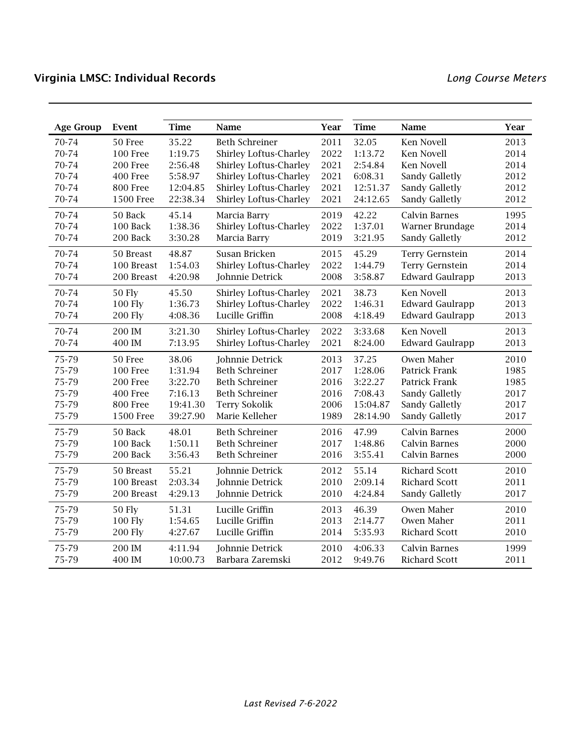| <b>Age Group</b> | Event            | <b>Time</b> | Name                          | Year | <b>Time</b> | Name                   | <b>Year</b> |
|------------------|------------------|-------------|-------------------------------|------|-------------|------------------------|-------------|
| 70-74            | 50 Free          | 35.22       | <b>Beth Schreiner</b>         | 2011 | 32.05       | <b>Ken Novell</b>      | 2013        |
| 70-74            | 100 Free         | 1:19.75     | Shirley Loftus-Charley        | 2022 | 1:13.72     | <b>Ken Novell</b>      | 2014        |
| 70-74            | 200 Free         | 2:56.48     | Shirley Loftus-Charley        | 2021 | 2:54.84     | <b>Ken Novell</b>      | 2014        |
| 70-74            | 400 Free         | 5:58.97     | Shirley Loftus-Charley        | 2021 | 6:08.31     | Sandy Galletly         | 2012        |
| 70-74            | 800 Free         | 12:04.85    | Shirley Loftus-Charley        | 2021 | 12:51.37    | Sandy Galletly         | 2012        |
| 70-74            | <b>1500 Free</b> | 22:38.34    | Shirley Loftus-Charley        | 2021 | 24:12.65    | Sandy Galletly         | 2012        |
| 70-74            | 50 Back          | 45.14       | Marcia Barry                  | 2019 | 42.22       | <b>Calvin Barnes</b>   | 1995        |
| 70-74            | 100 Back         | 1:38.36     | Shirley Loftus-Charley        | 2022 | 1:37.01     | Warner Brundage        | 2014        |
| 70-74            | 200 Back         | 3:30.28     | Marcia Barry                  | 2019 | 3:21.95     | Sandy Galletly         | 2012        |
| 70-74            | 50 Breast        | 48.87       | Susan Bricken                 | 2015 | 45.29       | Terry Gernstein        | 2014        |
| 70-74            | 100 Breast       | 1:54.03     | Shirley Loftus-Charley        | 2022 | 1:44.79     | Terry Gernstein        | 2014        |
| 70-74            | 200 Breast       | 4:20.98     | Johnnie Detrick               | 2008 | 3:58.87     | <b>Edward Gaulrapp</b> | 2013        |
| 70-74            | <b>50 Fly</b>    | 45.50       | <b>Shirley Loftus-Charley</b> | 2021 | 38.73       | Ken Novell             | 2013        |
| 70-74            | <b>100 Fly</b>   | 1:36.73     | Shirley Loftus-Charley        | 2022 | 1:46.31     | <b>Edward Gaulrapp</b> | 2013        |
| 70-74            | <b>200 Fly</b>   | 4:08.36     | Lucille Griffin               | 2008 | 4:18.49     | <b>Edward Gaulrapp</b> | 2013        |
| 70-74            | 200 IM           | 3:21.30     | <b>Shirley Loftus-Charley</b> | 2022 | 3:33.68     | Ken Novell             | 2013        |
| 70-74            | 400 IM           | 7:13.95     | <b>Shirley Loftus-Charley</b> | 2021 | 8:24.00     | <b>Edward Gaulrapp</b> | 2013        |
| 75-79            | 50 Free          | 38.06       | Johnnie Detrick               | 2013 | 37.25       | Owen Maher             | 2010        |
| 75-79            | 100 Free         | 1:31.94     | <b>Beth Schreiner</b>         | 2017 | 1:28.06     | Patrick Frank          | 1985        |
| 75-79            | 200 Free         | 3:22.70     | <b>Beth Schreiner</b>         | 2016 | 3:22.27     | Patrick Frank          | 1985        |
| 75-79            | 400 Free         | 7:16.13     | <b>Beth Schreiner</b>         | 2016 | 7:08.43     | Sandy Galletly         | 2017        |
| 75-79            | 800 Free         | 19:41.30    | <b>Terry Sokolik</b>          | 2006 | 15:04.87    | Sandy Galletly         | 2017        |
| 75-79            | <b>1500 Free</b> | 39:27.90    | Marie Kelleher                | 1989 | 28:14.90    | Sandy Galletly         | 2017        |
| 75-79            | 50 Back          | 48.01       | <b>Beth Schreiner</b>         | 2016 | 47.99       | <b>Calvin Barnes</b>   | 2000        |
| 75-79            | 100 Back         | 1:50.11     | <b>Beth Schreiner</b>         | 2017 | 1:48.86     | <b>Calvin Barnes</b>   | 2000        |
| 75-79            | 200 Back         | 3:56.43     | <b>Beth Schreiner</b>         | 2016 | 3:55.41     | <b>Calvin Barnes</b>   | 2000        |
| 75-79            | 50 Breast        | 55.21       | Johnnie Detrick               | 2012 | 55.14       | <b>Richard Scott</b>   | 2010        |
| 75-79            | 100 Breast       | 2:03.34     | Johnnie Detrick               | 2010 | 2:09.14     | <b>Richard Scott</b>   | 2011        |
| 75-79            | 200 Breast       | 4:29.13     | Johnnie Detrick               | 2010 | 4:24.84     | Sandy Galletly         | 2017        |
| 75-79            | <b>50 Fly</b>    | 51.31       | Lucille Griffin               | 2013 | 46.39       | Owen Maher             | 2010        |
| 75-79            | <b>100 Fly</b>   | 1:54.65     | Lucille Griffin               | 2013 | 2:14.77     | Owen Maher             | 2011        |
| 75-79            | <b>200 Fly</b>   | 4:27.67     | Lucille Griffin               | 2014 | 5:35.93     | <b>Richard Scott</b>   | 2010        |
| 75-79            | 200 IM           | 4:11.94     | Johnnie Detrick               | 2010 | 4:06.33     | <b>Calvin Barnes</b>   | 1999        |
| 75-79            | 400 IM           | 10:00.73    | Barbara Zaremski              | 2012 | 9:49.76     | <b>Richard Scott</b>   | 2011        |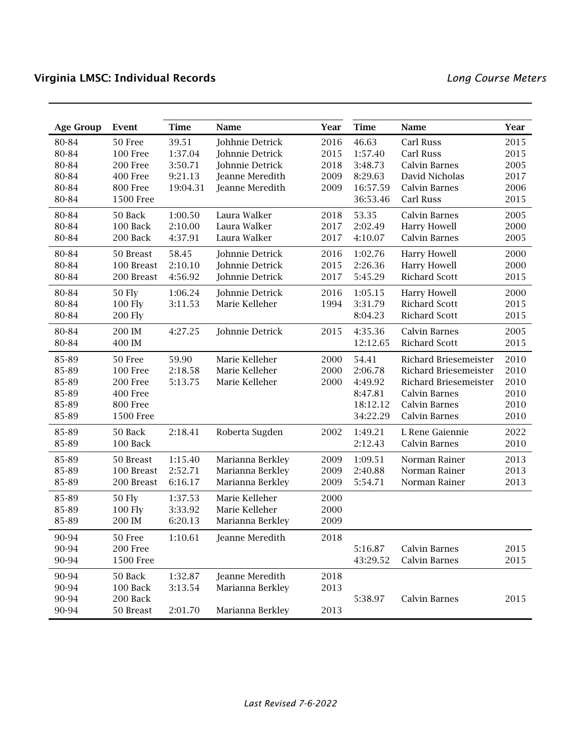| <b>Age Group</b> | Event            | <b>Time</b> | Name             | Year | <b>Time</b> | Name                         | Year |
|------------------|------------------|-------------|------------------|------|-------------|------------------------------|------|
| 80-84            | 50 Free          | 39.51       | Johhnie Detrick  | 2016 | 46.63       | Carl Russ                    | 2015 |
| 80-84            | 100 Free         | 1:37.04     | Johnnie Detrick  | 2015 | 1:57.40     | Carl Russ                    | 2015 |
| 80-84            | 200 Free         | 3:50.71     | Johnnie Detrick  | 2018 | 3:48.73     | <b>Calvin Barnes</b>         | 2005 |
| 80-84            | 400 Free         | 9:21.13     | Jeanne Meredith  | 2009 | 8:29.63     | David Nicholas               | 2017 |
| 80-84            | 800 Free         | 19:04.31    | Jeanne Meredith  | 2009 | 16:57.59    | <b>Calvin Barnes</b>         | 2006 |
| 80-84            | <b>1500 Free</b> |             |                  |      | 36:53.46    | Carl Russ                    | 2015 |
| 80-84            | 50 Back          | 1:00.50     | Laura Walker     | 2018 | 53.35       | <b>Calvin Barnes</b>         | 2005 |
| 80-84            | 100 Back         | 2:10.00     | Laura Walker     | 2017 | 2:02.49     | <b>Harry Howell</b>          | 2000 |
| 80-84            | 200 Back         | 4:37.91     | Laura Walker     | 2017 | 4:10.07     | <b>Calvin Barnes</b>         | 2005 |
| 80-84            | 50 Breast        | 58.45       | Johnnie Detrick  | 2016 | 1:02.76     | <b>Harry Howell</b>          | 2000 |
| 80-84            | 100 Breast       | 2:10.10     | Johnnie Detrick  | 2015 | 2:26.36     | Harry Howell                 | 2000 |
| 80-84            | 200 Breast       | 4:56.92     | Johnnie Detrick  | 2017 | 5:45.29     | <b>Richard Scott</b>         | 2015 |
| 80-84            | <b>50 Fly</b>    | 1:06.24     | Johnnie Detrick  | 2016 | 1:05.15     | <b>Harry Howell</b>          | 2000 |
| 80-84            | 100 Fly          | 3:11.53     | Marie Kelleher   | 1994 | 3:31.79     | <b>Richard Scott</b>         | 2015 |
| 80-84            | <b>200 Fly</b>   |             |                  |      | 8:04.23     | <b>Richard Scott</b>         | 2015 |
| 80-84            | 200 IM           | 4:27.25     | Johnnie Detrick  | 2015 | 4:35.36     | <b>Calvin Barnes</b>         | 2005 |
| 80-84            | 400 IM           |             |                  |      | 12:12.65    | <b>Richard Scott</b>         | 2015 |
| 85-89            | 50 Free          | 59.90       | Marie Kelleher   | 2000 | 54.41       | Richard Briesemeister        | 2010 |
| 85-89            | <b>100 Free</b>  | 2:18.58     | Marie Kelleher   | 2000 | 2:06.78     | <b>Richard Briesemeister</b> | 2010 |
| 85-89            | 200 Free         | 5:13.75     | Marie Kelleher   | 2000 | 4:49.92     | Richard Briesemeister        | 2010 |
| 85-89            | 400 Free         |             |                  |      | 8:47.81     | <b>Calvin Barnes</b>         | 2010 |
| 85-89            | 800 Free         |             |                  |      | 18:12.12    | Calvin Barnes                | 2010 |
| 85-89            | <b>1500 Free</b> |             |                  |      | 34:22.29    | <b>Calvin Barnes</b>         | 2010 |
| 85-89            | 50 Back          | 2:18.41     | Roberta Sugden   | 2002 | 1:49.21     | L Rene Gaiennie              | 2022 |
| 85-89            | 100 Back         |             |                  |      | 2:12.43     | <b>Calvin Barnes</b>         | 2010 |
| 85-89            | 50 Breast        | 1:15.40     | Marianna Berkley | 2009 | 1:09.51     | Norman Rainer                | 2013 |
| 85-89            | 100 Breast       | 2:52.71     | Marianna Berkley | 2009 | 2:40.88     | Norman Rainer                | 2013 |
| 85-89            | 200 Breast       | 6:16.17     | Marianna Berkley | 2009 | 5:54.71     | Norman Rainer                | 2013 |
| 85-89            | <b>50 Fly</b>    | 1:37.53     | Marie Kelleher   | 2000 |             |                              |      |
| 85-89            | <b>100 Fly</b>   | 3:33.92     | Marie Kelleher   | 2000 |             |                              |      |
| 85-89            | 200 IM           | 6:20.13     | Marianna Berkley | 2009 |             |                              |      |
| 90-94            | 50 Free          | 1:10.61     | Jeanne Meredith  | 2018 |             |                              |      |
| 90-94            | 200 Free         |             |                  |      | 5:16.87     | Calvin Barnes                | 2015 |
| 90-94            | <b>1500 Free</b> |             |                  |      | 43:29.52    | <b>Calvin Barnes</b>         | 2015 |
| 90-94            | 50 Back          | 1:32.87     | Jeanne Meredith  | 2018 |             |                              |      |
| 90-94            | 100 Back         | 3:13.54     | Marianna Berkley | 2013 |             |                              |      |
| 90-94            | 200 Back         |             |                  |      | 5:38.97     | <b>Calvin Barnes</b>         | 2015 |
| 90-94            | 50 Breast        | 2:01.70     | Marianna Berkley | 2013 |             |                              |      |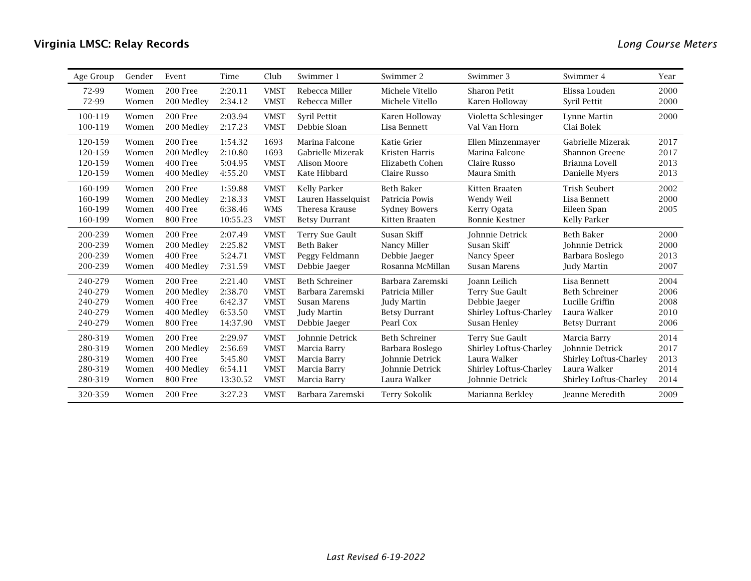| Age Group | Gender | Event      | Time     | Club        | Swimmer 1             | Swimmer 2             | Swimmer 3                     | Swimmer 4                     | Year |
|-----------|--------|------------|----------|-------------|-----------------------|-----------------------|-------------------------------|-------------------------------|------|
| 72-99     | Women  | 200 Free   | 2:20.11  | <b>VMST</b> | Rebecca Miller        | Michele Vitello       | <b>Sharon Petit</b>           | Elissa Louden                 | 2000 |
| 72-99     | Women  | 200 Medley | 2:34.12  | <b>VMST</b> | Rebecca Miller        | Michele Vitello       | Karen Holloway                | Syril Pettit                  | 2000 |
| 100-119   | Women  | 200 Free   | 2:03.94  | <b>VMST</b> | Syril Pettit          | Karen Holloway        | Violetta Schlesinger          | Lynne Martin                  | 2000 |
| 100-119   | Women  | 200 Medley | 2:17.23  | <b>VMST</b> | Debbie Sloan          | Lisa Bennett          | Val Van Horn                  | Clai Bolek                    |      |
| 120-159   | Women  | 200 Free   | 1:54.32  | 1693        | Marina Falcone        | Katie Grier           | Ellen Minzenmayer             | Gabrielle Mizerak             | 2017 |
| 120-159   | Women  | 200 Medlev | 2:10.80  | 1693        | Gabrielle Mizerak     | Kristen Harris        | Marina Falcone                | <b>Shannon Greene</b>         | 2017 |
| 120-159   | Women  | 400 Free   | 5:04.95  | <b>VMST</b> | <b>Alison Moore</b>   | Elizabeth Cohen       | Claire Russo                  | Brianna Lovell                | 2013 |
| 120-159   | Women  | 400 Medley | 4:55.20  | <b>VMST</b> | Kate Hibbard          | <b>Claire Russo</b>   | Maura Smith                   | Danielle Myers                | 2013 |
| 160-199   | Women  | 200 Free   | 1:59.88  | <b>VMST</b> | <b>Kelly Parker</b>   | <b>Beth Baker</b>     | Kitten Braaten                | <b>Trish Seubert</b>          | 2002 |
| 160-199   | Women  | 200 Medley | 2:18.33  | <b>VMST</b> | Lauren Hasselquist    | Patricia Powis        | Wendy Weil                    | Lisa Bennett                  | 2000 |
| 160-199   | Women  | 400 Free   | 6:38.46  | <b>WMS</b>  | <b>Theresa Krause</b> | <b>Sydney Bowers</b>  | Kerry Ogata                   | Eileen Span                   | 2005 |
| 160-199   | Women  | 800 Free   | 10:55.23 | <b>VMST</b> | <b>Betsy Durrant</b>  | Kitten Braaten        | <b>Bonnie Kestner</b>         | Kelly Parker                  |      |
| 200-239   | Women  | 200 Free   | 2:07.49  | <b>VMST</b> | Terry Sue Gault       | Susan Skiff           | Johnnie Detrick               | <b>Beth Baker</b>             | 2000 |
| 200-239   | Women  | 200 Medley | 2:25.82  | <b>VMST</b> | <b>Beth Baker</b>     | Nancy Miller          | Susan Skiff                   | <b>Iohnnie Detrick</b>        | 2000 |
| 200-239   | Women  | 400 Free   | 5:24.71  | <b>VMST</b> | Peggy Feldmann        | Debbie Jaeger         | Nancy Speer                   | Barbara Boslego               | 2013 |
| 200-239   | Women  | 400 Medley | 7:31.59  | <b>VMST</b> | Debbie Jaeger         | Rosanna McMillan      | Susan Marens                  | Judy Martin                   | 2007 |
| 240-279   | Women  | 200 Free   | 2:21.40  | <b>VMST</b> | <b>Beth Schreiner</b> | Barbara Zaremski      | Joann Leilich                 | Lisa Bennett                  | 2004 |
| 240-279   | Women  | 200 Medley | 2:38.70  | <b>VMST</b> | Barbara Zaremski      | Patricia Miller       | Terry Sue Gault               | <b>Beth Schreiner</b>         | 2006 |
| 240-279   | Women  | 400 Free   | 6:42.37  | <b>VMST</b> | <b>Susan Marens</b>   | Judy Martin           | Debbie Jaeger                 | Lucille Griffin               | 2008 |
| 240-279   | Women  | 400 Medley | 6:53.50  | <b>VMST</b> | Judy Martin           | <b>Betsy Durrant</b>  | <b>Shirley Loftus-Charley</b> | Laura Walker                  | 2010 |
| 240-279   | Women  | 800 Free   | 14:37.90 | <b>VMST</b> | Debbie Jaeger         | Pearl Cox             | Susan Henley                  | <b>Betsy Durrant</b>          | 2006 |
| 280-319   | Women  | 200 Free   | 2:29.97  | <b>VMST</b> | Johnnie Detrick       | <b>Beth Schreiner</b> | Terry Sue Gault               | Marcia Barry                  | 2014 |
| 280-319   | Women  | 200 Medley | 2:56.69  | <b>VMST</b> | Marcia Barry          | Barbara Boslego       | <b>Shirley Loftus-Charley</b> | <b>Iohnnie Detrick</b>        | 2017 |
| 280-319   | Women  | 400 Free   | 5:45.80  | <b>VMST</b> | Marcia Barry          | Johnnie Detrick       | Laura Walker                  | <b>Shirley Loftus-Charley</b> | 2013 |
| 280-319   | Women  | 400 Medley | 6:54.11  | <b>VMST</b> | Marcia Barry          | Johnnie Detrick       | Shirley Loftus-Charley        | Laura Walker                  | 2014 |
| 280-319   | Women  | 800 Free   | 13:30.52 | <b>VMST</b> | Marcia Barry          | Laura Walker          | Johnnie Detrick               | Shirley Loftus-Charley        | 2014 |
| 320-359   | Women  | 200 Free   | 3:27.23  | <b>VMST</b> | Barbara Zaremski      | <b>Terry Sokolik</b>  | Marianna Berkley              | Jeanne Meredith               | 2009 |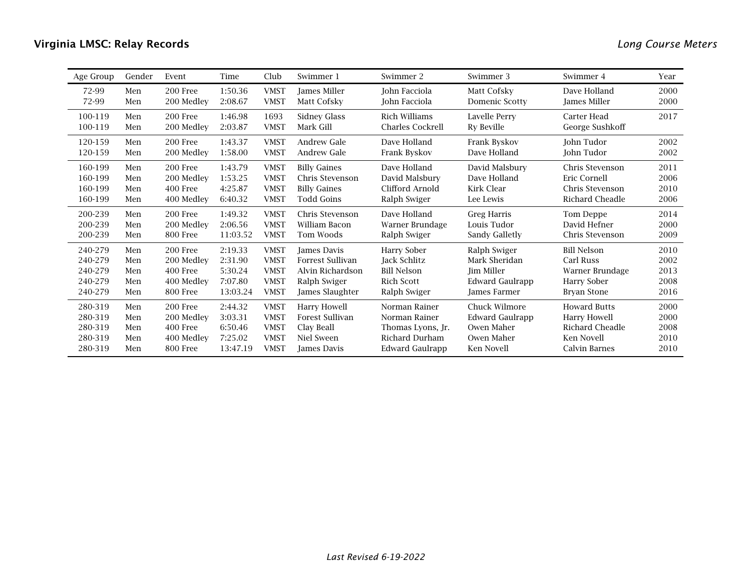| Age Group | Gender | Event      | Time     | Club        | Swimmer 1           | Swimmer 2               | Swimmer 3              | Swimmer 4              | Year |
|-----------|--------|------------|----------|-------------|---------------------|-------------------------|------------------------|------------------------|------|
| 72-99     | Men    | 200 Free   | 1:50.36  | <b>VMST</b> | <b>James Miller</b> | <b>John Facciola</b>    | Matt Cofsky            | Dave Holland           | 2000 |
| 72-99     | Men    | 200 Medley | 2:08.67  | <b>VMST</b> | Matt Cofsky         | John Facciola           | Domenic Scotty         | James Miller           | 2000 |
| 100-119   | Men    | 200 Free   | 1:46.98  | 1693        | Sidney Glass        | Rich Williams           | Lavelle Perry          | Carter Head            | 2017 |
| 100-119   | Men    | 200 Medley | 2:03.87  | <b>VMST</b> | Mark Gill           | <b>Charles Cockrell</b> | Ry Beville             | George Sushkoff        |      |
| 120-159   | Men    | 200 Free   | 1:43.37  | <b>VMST</b> | <b>Andrew Gale</b>  | Dave Holland            | Frank Byskov           | John Tudor             | 2002 |
| 120-159   | Men    | 200 Medley | 1:58.00  | <b>VMST</b> | <b>Andrew Gale</b>  | Frank Byskov            | Dave Holland           | John Tudor             | 2002 |
| 160-199   | Men    | 200 Free   | 1:43.79  | <b>VMST</b> | <b>Billy Gaines</b> | Dave Holland            | David Malsbury         | Chris Stevenson        | 2011 |
| 160-199   | Men    | 200 Medlev | 1:53.25  | <b>VMST</b> | Chris Stevenson     | David Malsbury          | Dave Holland           | Eric Cornell           | 2006 |
| 160-199   | Men    | 400 Free   | 4:25.87  | <b>VMST</b> | <b>Billy Gaines</b> | Clifford Arnold         | Kirk Clear             | Chris Stevenson        | 2010 |
| 160-199   | Men    | 400 Medley | 6:40.32  | <b>VMST</b> | <b>Todd Goins</b>   | Ralph Swiger            | Lee Lewis              | Richard Cheadle        | 2006 |
| 200-239   | Men    | 200 Free   | 1:49.32  | <b>VMST</b> | Chris Stevenson     | Dave Holland            | Greg Harris            | Tom Deppe              | 2014 |
| 200-239   | Men    | 200 Medlev | 2:06.56  | <b>VMST</b> | William Bacon       | Warner Brundage         | Louis Tudor            | David Hefner           | 2000 |
| 200-239   | Men    | 800 Free   | 11:03.52 | <b>VMST</b> | Tom Woods           | Ralph Swiger            | Sandy Galletly         | Chris Stevenson        | 2009 |
| 240-279   | Men    | 200 Free   | 2:19.33  | <b>VMST</b> | James Davis         | Harry Sober             | Ralph Swiger           | <b>Bill Nelson</b>     | 2010 |
| 240-279   | Men    | 200 Medley | 2:31.90  | <b>VMST</b> | Forrest Sullivan    | Jack Schlitz            | Mark Sheridan          | Carl Russ              | 2002 |
| 240-279   | Men    | 400 Free   | 5:30.24  | <b>VMST</b> | Alvin Richardson    | <b>Bill Nelson</b>      | Jim Miller             | Warner Brundage        | 2013 |
| 240-279   | Men    | 400 Medley | 7:07.80  | <b>VMST</b> | Ralph Swiger        | Rich Scott              | <b>Edward Gaulrapp</b> | <b>Harry Sober</b>     | 2008 |
| 240-279   | Men    | 800 Free   | 13:03.24 | <b>VMST</b> | James Slaughter     | Ralph Swiger            | James Farmer           | Bryan Stone            | 2016 |
| 280-319   | Men    | 200 Free   | 2:44.32  | <b>VMST</b> | Harry Howell        | Norman Rainer           | Chuck Wilmore          | <b>Howard Butts</b>    | 2000 |
| 280-319   | Men    | 200 Medlev | 3:03.31  | <b>VMST</b> | Forest Sullivan     | Norman Rainer           | <b>Edward Gaulrapp</b> | Harry Howell           | 2000 |
| 280-319   | Men    | 400 Free   | 6:50.46  | <b>VMST</b> | Clay Beall          | Thomas Lyons, Jr.       | Owen Maher             | <b>Richard Cheadle</b> | 2008 |
| 280-319   | Men    | 400 Medley | 7:25.02  | <b>VMST</b> | Niel Sween          | Richard Durham          | Owen Maher             | Ken Novell             | 2010 |
| 280-319   | Men    | 800 Free   | 13:47.19 | <b>VMST</b> | <b>James Davis</b>  | <b>Edward Gaulrapp</b>  | Ken Novell             | <b>Calvin Barnes</b>   | 2010 |